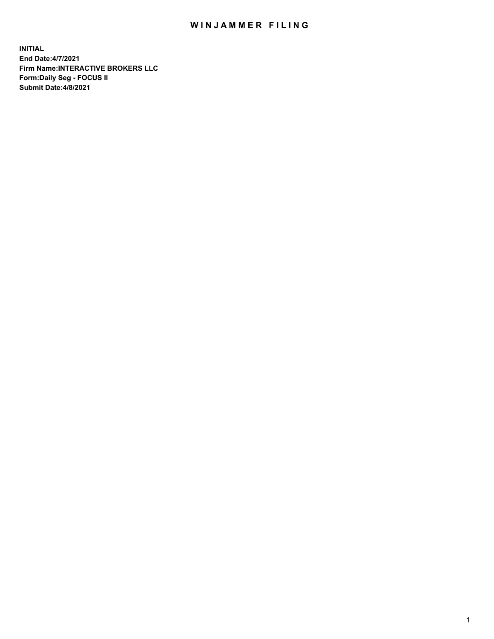## WIN JAMMER FILING

**INITIAL End Date:4/7/2021 Firm Name:INTERACTIVE BROKERS LLC Form:Daily Seg - FOCUS II Submit Date:4/8/2021**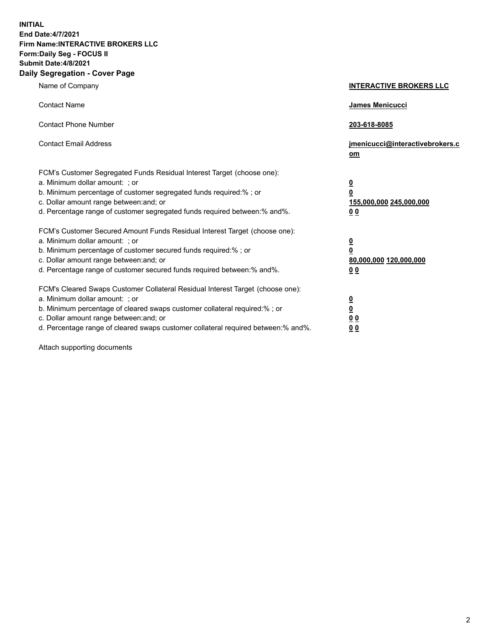**INITIAL End Date:4/7/2021 Firm Name:INTERACTIVE BROKERS LLC Form:Daily Seg - FOCUS II Submit Date:4/8/2021 Daily Segregation - Cover Page**

| Name of Company                                                                                                                                                                                                                                                                                                                | <b>INTERACTIVE BROKERS LLC</b>                                                                  |
|--------------------------------------------------------------------------------------------------------------------------------------------------------------------------------------------------------------------------------------------------------------------------------------------------------------------------------|-------------------------------------------------------------------------------------------------|
| <b>Contact Name</b>                                                                                                                                                                                                                                                                                                            | James Menicucci                                                                                 |
| <b>Contact Phone Number</b>                                                                                                                                                                                                                                                                                                    | 203-618-8085                                                                                    |
| <b>Contact Email Address</b>                                                                                                                                                                                                                                                                                                   | jmenicucci@interactivebrokers.c<br>om                                                           |
| FCM's Customer Segregated Funds Residual Interest Target (choose one):<br>a. Minimum dollar amount: ; or<br>b. Minimum percentage of customer segregated funds required:%; or<br>c. Dollar amount range between: and; or<br>d. Percentage range of customer segregated funds required between:% and%.                          | $\overline{\mathbf{0}}$<br>$\overline{\mathbf{0}}$<br>155,000,000 245,000,000<br>0 <sub>0</sub> |
| FCM's Customer Secured Amount Funds Residual Interest Target (choose one):<br>a. Minimum dollar amount: ; or<br>b. Minimum percentage of customer secured funds required:% ; or<br>c. Dollar amount range between: and; or<br>d. Percentage range of customer secured funds required between:% and%.                           | $\frac{0}{0}$<br>80,000,000 120,000,000<br>0 <sub>0</sub>                                       |
| FCM's Cleared Swaps Customer Collateral Residual Interest Target (choose one):<br>a. Minimum dollar amount: ; or<br>b. Minimum percentage of cleared swaps customer collateral required:% ; or<br>c. Dollar amount range between: and; or<br>d. Percentage range of cleared swaps customer collateral required between:% and%. | $\frac{0}{0}$<br>0 <sub>0</sub><br>0 <sub>0</sub>                                               |

Attach supporting documents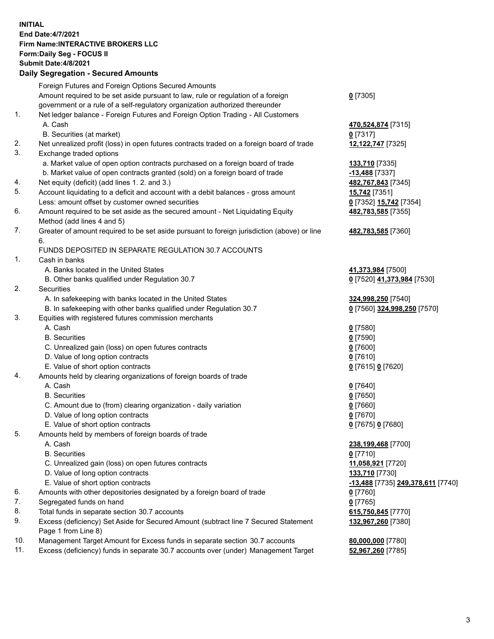## **INITIAL End Date:4/7/2021 Firm Name:INTERACTIVE BROKERS LLC Form:Daily Seg - FOCUS II Submit Date:4/8/2021 Daily Segregation - Secured Amounts**

| Foreign Futures and Foreign Options Secured Amounts                                         |                                                                                                                                                                                                                                                                                                                                                                                                                                                                                                                                                                                                                                                                                                                                                                                                                                                                                                                                                                                                                                                                                                                                                                                                                                                                             |
|---------------------------------------------------------------------------------------------|-----------------------------------------------------------------------------------------------------------------------------------------------------------------------------------------------------------------------------------------------------------------------------------------------------------------------------------------------------------------------------------------------------------------------------------------------------------------------------------------------------------------------------------------------------------------------------------------------------------------------------------------------------------------------------------------------------------------------------------------------------------------------------------------------------------------------------------------------------------------------------------------------------------------------------------------------------------------------------------------------------------------------------------------------------------------------------------------------------------------------------------------------------------------------------------------------------------------------------------------------------------------------------|
| Amount required to be set aside pursuant to law, rule or regulation of a foreign            | $0$ [7305]                                                                                                                                                                                                                                                                                                                                                                                                                                                                                                                                                                                                                                                                                                                                                                                                                                                                                                                                                                                                                                                                                                                                                                                                                                                                  |
| government or a rule of a self-regulatory organization authorized thereunder                |                                                                                                                                                                                                                                                                                                                                                                                                                                                                                                                                                                                                                                                                                                                                                                                                                                                                                                                                                                                                                                                                                                                                                                                                                                                                             |
| Net ledger balance - Foreign Futures and Foreign Option Trading - All Customers             |                                                                                                                                                                                                                                                                                                                                                                                                                                                                                                                                                                                                                                                                                                                                                                                                                                                                                                                                                                                                                                                                                                                                                                                                                                                                             |
| A. Cash                                                                                     | 470,524,874 [7315]                                                                                                                                                                                                                                                                                                                                                                                                                                                                                                                                                                                                                                                                                                                                                                                                                                                                                                                                                                                                                                                                                                                                                                                                                                                          |
| B. Securities (at market)                                                                   | $0$ [7317]                                                                                                                                                                                                                                                                                                                                                                                                                                                                                                                                                                                                                                                                                                                                                                                                                                                                                                                                                                                                                                                                                                                                                                                                                                                                  |
| Net unrealized profit (loss) in open futures contracts traded on a foreign board of trade   | 12,122,747 [7325]                                                                                                                                                                                                                                                                                                                                                                                                                                                                                                                                                                                                                                                                                                                                                                                                                                                                                                                                                                                                                                                                                                                                                                                                                                                           |
| Exchange traded options                                                                     |                                                                                                                                                                                                                                                                                                                                                                                                                                                                                                                                                                                                                                                                                                                                                                                                                                                                                                                                                                                                                                                                                                                                                                                                                                                                             |
| a. Market value of open option contracts purchased on a foreign board of trade              | 133,710 [7335]                                                                                                                                                                                                                                                                                                                                                                                                                                                                                                                                                                                                                                                                                                                                                                                                                                                                                                                                                                                                                                                                                                                                                                                                                                                              |
|                                                                                             | -13,488 [7337]                                                                                                                                                                                                                                                                                                                                                                                                                                                                                                                                                                                                                                                                                                                                                                                                                                                                                                                                                                                                                                                                                                                                                                                                                                                              |
|                                                                                             | 482,767,843 [7345]                                                                                                                                                                                                                                                                                                                                                                                                                                                                                                                                                                                                                                                                                                                                                                                                                                                                                                                                                                                                                                                                                                                                                                                                                                                          |
| Account liquidating to a deficit and account with a debit balances - gross amount           | 15,742 [7351]                                                                                                                                                                                                                                                                                                                                                                                                                                                                                                                                                                                                                                                                                                                                                                                                                                                                                                                                                                                                                                                                                                                                                                                                                                                               |
| Less: amount offset by customer owned securities                                            | 0 [7352] 15,742 [7354]                                                                                                                                                                                                                                                                                                                                                                                                                                                                                                                                                                                                                                                                                                                                                                                                                                                                                                                                                                                                                                                                                                                                                                                                                                                      |
| Amount required to be set aside as the secured amount - Net Liquidating Equity              | 482,783,585 [7355]                                                                                                                                                                                                                                                                                                                                                                                                                                                                                                                                                                                                                                                                                                                                                                                                                                                                                                                                                                                                                                                                                                                                                                                                                                                          |
| Method (add lines 4 and 5)                                                                  |                                                                                                                                                                                                                                                                                                                                                                                                                                                                                                                                                                                                                                                                                                                                                                                                                                                                                                                                                                                                                                                                                                                                                                                                                                                                             |
| Greater of amount required to be set aside pursuant to foreign jurisdiction (above) or line | 482,783,585 [7360]                                                                                                                                                                                                                                                                                                                                                                                                                                                                                                                                                                                                                                                                                                                                                                                                                                                                                                                                                                                                                                                                                                                                                                                                                                                          |
| 6.                                                                                          |                                                                                                                                                                                                                                                                                                                                                                                                                                                                                                                                                                                                                                                                                                                                                                                                                                                                                                                                                                                                                                                                                                                                                                                                                                                                             |
| FUNDS DEPOSITED IN SEPARATE REGULATION 30.7 ACCOUNTS                                        |                                                                                                                                                                                                                                                                                                                                                                                                                                                                                                                                                                                                                                                                                                                                                                                                                                                                                                                                                                                                                                                                                                                                                                                                                                                                             |
| Cash in banks                                                                               |                                                                                                                                                                                                                                                                                                                                                                                                                                                                                                                                                                                                                                                                                                                                                                                                                                                                                                                                                                                                                                                                                                                                                                                                                                                                             |
| A. Banks located in the United States                                                       | 41,373,984 [7500]                                                                                                                                                                                                                                                                                                                                                                                                                                                                                                                                                                                                                                                                                                                                                                                                                                                                                                                                                                                                                                                                                                                                                                                                                                                           |
| B. Other banks qualified under Regulation 30.7                                              | 0 [7520] 41,373,984 [7530]                                                                                                                                                                                                                                                                                                                                                                                                                                                                                                                                                                                                                                                                                                                                                                                                                                                                                                                                                                                                                                                                                                                                                                                                                                                  |
| Securities                                                                                  |                                                                                                                                                                                                                                                                                                                                                                                                                                                                                                                                                                                                                                                                                                                                                                                                                                                                                                                                                                                                                                                                                                                                                                                                                                                                             |
|                                                                                             | 324,998,250 [7540]                                                                                                                                                                                                                                                                                                                                                                                                                                                                                                                                                                                                                                                                                                                                                                                                                                                                                                                                                                                                                                                                                                                                                                                                                                                          |
| B. In safekeeping with other banks qualified under Regulation 30.7                          | 0 [7560] 324,998,250 [7570]                                                                                                                                                                                                                                                                                                                                                                                                                                                                                                                                                                                                                                                                                                                                                                                                                                                                                                                                                                                                                                                                                                                                                                                                                                                 |
|                                                                                             |                                                                                                                                                                                                                                                                                                                                                                                                                                                                                                                                                                                                                                                                                                                                                                                                                                                                                                                                                                                                                                                                                                                                                                                                                                                                             |
| A. Cash                                                                                     | $0$ [7580]                                                                                                                                                                                                                                                                                                                                                                                                                                                                                                                                                                                                                                                                                                                                                                                                                                                                                                                                                                                                                                                                                                                                                                                                                                                                  |
| <b>B.</b> Securities                                                                        | $0$ [7590]                                                                                                                                                                                                                                                                                                                                                                                                                                                                                                                                                                                                                                                                                                                                                                                                                                                                                                                                                                                                                                                                                                                                                                                                                                                                  |
| C. Unrealized gain (loss) on open futures contracts                                         | $0$ [7600]                                                                                                                                                                                                                                                                                                                                                                                                                                                                                                                                                                                                                                                                                                                                                                                                                                                                                                                                                                                                                                                                                                                                                                                                                                                                  |
|                                                                                             | $0$ [7610]                                                                                                                                                                                                                                                                                                                                                                                                                                                                                                                                                                                                                                                                                                                                                                                                                                                                                                                                                                                                                                                                                                                                                                                                                                                                  |
|                                                                                             | 0 [7615] 0 [7620]                                                                                                                                                                                                                                                                                                                                                                                                                                                                                                                                                                                                                                                                                                                                                                                                                                                                                                                                                                                                                                                                                                                                                                                                                                                           |
|                                                                                             |                                                                                                                                                                                                                                                                                                                                                                                                                                                                                                                                                                                                                                                                                                                                                                                                                                                                                                                                                                                                                                                                                                                                                                                                                                                                             |
|                                                                                             | $Q$ [7640]                                                                                                                                                                                                                                                                                                                                                                                                                                                                                                                                                                                                                                                                                                                                                                                                                                                                                                                                                                                                                                                                                                                                                                                                                                                                  |
| <b>B.</b> Securities                                                                        | $0$ [7650]                                                                                                                                                                                                                                                                                                                                                                                                                                                                                                                                                                                                                                                                                                                                                                                                                                                                                                                                                                                                                                                                                                                                                                                                                                                                  |
|                                                                                             | $0$ [7660]                                                                                                                                                                                                                                                                                                                                                                                                                                                                                                                                                                                                                                                                                                                                                                                                                                                                                                                                                                                                                                                                                                                                                                                                                                                                  |
|                                                                                             | $0$ [7670]                                                                                                                                                                                                                                                                                                                                                                                                                                                                                                                                                                                                                                                                                                                                                                                                                                                                                                                                                                                                                                                                                                                                                                                                                                                                  |
|                                                                                             | 0 [7675] 0 [7680]                                                                                                                                                                                                                                                                                                                                                                                                                                                                                                                                                                                                                                                                                                                                                                                                                                                                                                                                                                                                                                                                                                                                                                                                                                                           |
|                                                                                             |                                                                                                                                                                                                                                                                                                                                                                                                                                                                                                                                                                                                                                                                                                                                                                                                                                                                                                                                                                                                                                                                                                                                                                                                                                                                             |
|                                                                                             | 238,199,468 [7700]                                                                                                                                                                                                                                                                                                                                                                                                                                                                                                                                                                                                                                                                                                                                                                                                                                                                                                                                                                                                                                                                                                                                                                                                                                                          |
|                                                                                             | $0$ [7710]                                                                                                                                                                                                                                                                                                                                                                                                                                                                                                                                                                                                                                                                                                                                                                                                                                                                                                                                                                                                                                                                                                                                                                                                                                                                  |
|                                                                                             | 11,058,921 [7720]                                                                                                                                                                                                                                                                                                                                                                                                                                                                                                                                                                                                                                                                                                                                                                                                                                                                                                                                                                                                                                                                                                                                                                                                                                                           |
|                                                                                             | 133,710 [7730]                                                                                                                                                                                                                                                                                                                                                                                                                                                                                                                                                                                                                                                                                                                                                                                                                                                                                                                                                                                                                                                                                                                                                                                                                                                              |
|                                                                                             | -13,488 [7735] 249,378,611 [7740]                                                                                                                                                                                                                                                                                                                                                                                                                                                                                                                                                                                                                                                                                                                                                                                                                                                                                                                                                                                                                                                                                                                                                                                                                                           |
|                                                                                             | $0$ [7760]                                                                                                                                                                                                                                                                                                                                                                                                                                                                                                                                                                                                                                                                                                                                                                                                                                                                                                                                                                                                                                                                                                                                                                                                                                                                  |
|                                                                                             | $0$ [7765]                                                                                                                                                                                                                                                                                                                                                                                                                                                                                                                                                                                                                                                                                                                                                                                                                                                                                                                                                                                                                                                                                                                                                                                                                                                                  |
|                                                                                             | 615,750,845 [7770]                                                                                                                                                                                                                                                                                                                                                                                                                                                                                                                                                                                                                                                                                                                                                                                                                                                                                                                                                                                                                                                                                                                                                                                                                                                          |
|                                                                                             | 132,967,260 [7380]                                                                                                                                                                                                                                                                                                                                                                                                                                                                                                                                                                                                                                                                                                                                                                                                                                                                                                                                                                                                                                                                                                                                                                                                                                                          |
|                                                                                             |                                                                                                                                                                                                                                                                                                                                                                                                                                                                                                                                                                                                                                                                                                                                                                                                                                                                                                                                                                                                                                                                                                                                                                                                                                                                             |
|                                                                                             | 80,000,000 [7780]                                                                                                                                                                                                                                                                                                                                                                                                                                                                                                                                                                                                                                                                                                                                                                                                                                                                                                                                                                                                                                                                                                                                                                                                                                                           |
|                                                                                             | 52,967,260 [7785]                                                                                                                                                                                                                                                                                                                                                                                                                                                                                                                                                                                                                                                                                                                                                                                                                                                                                                                                                                                                                                                                                                                                                                                                                                                           |
|                                                                                             | 2011, Ocgi ogation - Oceanea Anioanita<br>b. Market value of open contracts granted (sold) on a foreign board of trade<br>Net equity (deficit) (add lines 1. 2. and 3.)<br>A. In safekeeping with banks located in the United States<br>Equities with registered futures commission merchants<br>D. Value of long option contracts<br>E. Value of short option contracts<br>Amounts held by clearing organizations of foreign boards of trade<br>A. Cash<br>C. Amount due to (from) clearing organization - daily variation<br>D. Value of long option contracts<br>E. Value of short option contracts<br>Amounts held by members of foreign boards of trade<br>A. Cash<br><b>B.</b> Securities<br>C. Unrealized gain (loss) on open futures contracts<br>D. Value of long option contracts<br>E. Value of short option contracts<br>Amounts with other depositories designated by a foreign board of trade<br>Segregated funds on hand<br>Total funds in separate section 30.7 accounts<br>Excess (deficiency) Set Aside for Secured Amount (subtract line 7 Secured Statement<br>Page 1 from Line 8)<br>Management Target Amount for Excess funds in separate section 30.7 accounts<br>Excess (deficiency) funds in separate 30.7 accounts over (under) Management Target |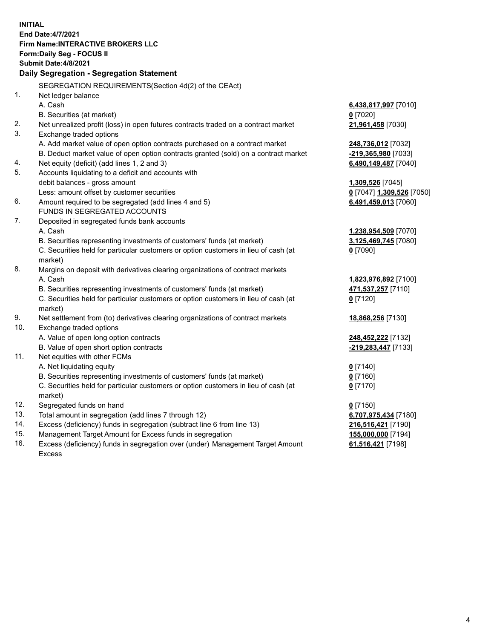**INITIAL End Date:4/7/2021 Firm Name:INTERACTIVE BROKERS LLC Form:Daily Seg - FOCUS II Submit Date:4/8/2021 Daily Segregation - Segregation Statement** SEGREGATION REQUIREMENTS(Section 4d(2) of the CEAct) 1. Net ledger balance A. Cash **6,438,817,997** [7010] B. Securities (at market) **0** [7020] 2. Net unrealized profit (loss) in open futures contracts traded on a contract market **21,961,458** [7030] 3. Exchange traded options A. Add market value of open option contracts purchased on a contract market **248,736,012** [7032] B. Deduct market value of open option contracts granted (sold) on a contract market **-219,365,980** [7033] 4. Net equity (deficit) (add lines 1, 2 and 3) **6,490,149,487** [7040] 5. Accounts liquidating to a deficit and accounts with debit balances - gross amount **1,309,526** [7045] Less: amount offset by customer securities **0** [7047] **1,309,526** [7050] 6. Amount required to be segregated (add lines 4 and 5) **6,491,459,013** [7060] FUNDS IN SEGREGATED ACCOUNTS 7. Deposited in segregated funds bank accounts A. Cash **1,238,954,509** [7070] B. Securities representing investments of customers' funds (at market) **3,125,469,745** [7080] C. Securities held for particular customers or option customers in lieu of cash (at market) **0** [7090] 8. Margins on deposit with derivatives clearing organizations of contract markets A. Cash **1,823,976,892** [7100] B. Securities representing investments of customers' funds (at market) **471,537,257** [7110] C. Securities held for particular customers or option customers in lieu of cash (at market) **0** [7120] 9. Net settlement from (to) derivatives clearing organizations of contract markets **18,868,256** [7130] 10. Exchange traded options A. Value of open long option contracts **248,452,222** [7132] B. Value of open short option contracts **-219,283,447** [7133] 11. Net equities with other FCMs A. Net liquidating equity **0** [7140] B. Securities representing investments of customers' funds (at market) **0** [7160] C. Securities held for particular customers or option customers in lieu of cash (at market) **0** [7170] 12. Segregated funds on hand **0** [7150] 13. Total amount in segregation (add lines 7 through 12) **6,707,975,434** [7180] 14. Excess (deficiency) funds in segregation (subtract line 6 from line 13) **216,516,421** [7190] 15. Management Target Amount for Excess funds in segregation **155,000,000** [7194] 16. Excess (deficiency) funds in segregation over (under) Management Target Amount **61,516,421** [7198]

Excess